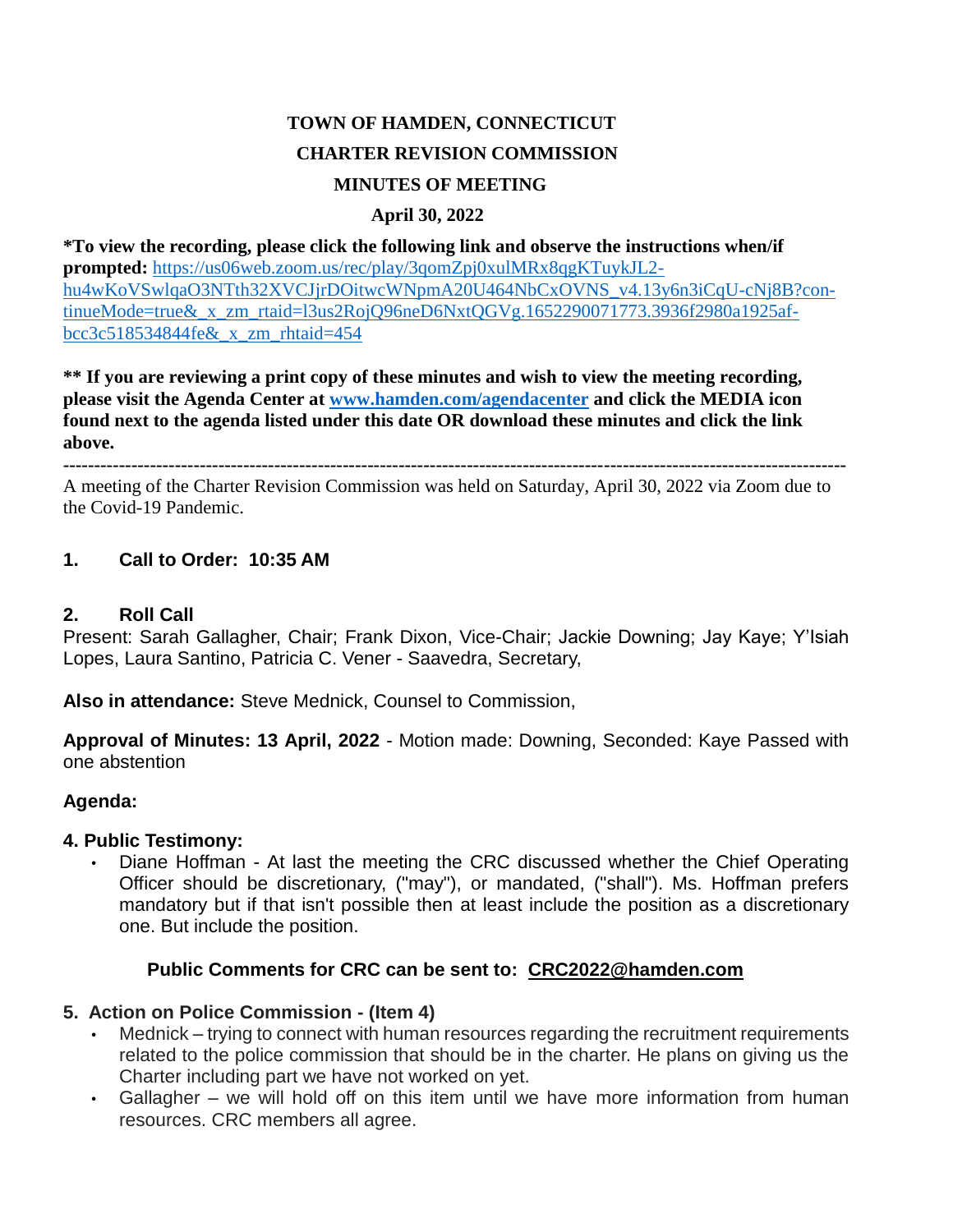# **TOWN OF HAMDEN, CONNECTICUT CHARTER REVISION COMMISSION MINUTES OF MEETING**

### **April 30, 2022**

**\*To view the recording, please click the following link and observe the instructions when/if prompted:** [https://us06web.zoom.us/rec/play/3qomZpj0xulMRx8qgKTuykJL2](https://us06web.zoom.us/rec/play/3qomZpj0xulMRx8qgKTuykJL2-hu4wKoVSwlqaO3NTth32XVCJjrDOitwcWNpmA20U464NbCxOVNS_v4.13y6n3iCqU-cNj8B?continueMode=true&_x_zm_rtaid=l3us2RojQ96neD6NxtQGVg.1652290071773.3936f2980a1925afbcc3c518534844fe&_x_zm_rhtaid=454) [hu4wKoVSwlqaO3NTth32XVCJjrDOitwcWNpmA20U464NbCxOVNS\\_v4.13y6n3iCqU-cNj8B?con](https://us06web.zoom.us/rec/play/3qomZpj0xulMRx8qgKTuykJL2-hu4wKoVSwlqaO3NTth32XVCJjrDOitwcWNpmA20U464NbCxOVNS_v4.13y6n3iCqU-cNj8B?continueMode=true&_x_zm_rtaid=l3us2RojQ96neD6NxtQGVg.1652290071773.3936f2980a1925afbcc3c518534844fe&_x_zm_rhtaid=454)[tinueMode=true&\\_x\\_zm\\_rtaid=l3us2RojQ96neD6NxtQGVg.1652290071773.3936f2980a1925af](https://us06web.zoom.us/rec/play/3qomZpj0xulMRx8qgKTuykJL2-hu4wKoVSwlqaO3NTth32XVCJjrDOitwcWNpmA20U464NbCxOVNS_v4.13y6n3iCqU-cNj8B?continueMode=true&_x_zm_rtaid=l3us2RojQ96neD6NxtQGVg.1652290071773.3936f2980a1925afbcc3c518534844fe&_x_zm_rhtaid=454)[bcc3c518534844fe&\\_x\\_zm\\_rhtaid=454](https://us06web.zoom.us/rec/play/3qomZpj0xulMRx8qgKTuykJL2-hu4wKoVSwlqaO3NTth32XVCJjrDOitwcWNpmA20U464NbCxOVNS_v4.13y6n3iCqU-cNj8B?continueMode=true&_x_zm_rtaid=l3us2RojQ96neD6NxtQGVg.1652290071773.3936f2980a1925afbcc3c518534844fe&_x_zm_rhtaid=454)

**\*\* If you are reviewing a print copy of these minutes and wish to view the meeting recording, please visit the Agenda Center at [www.hamden.com/agendacenter](http://www.hamden.com/agendacenter) and click the MEDIA icon found next to the agenda listed under this date OR download these minutes and click the link above.**

**------------------------------------------------------------------------------------------------------------------------------**

A meeting of the Charter Revision Commission was held on Saturday, April 30, 2022 via Zoom due to the Covid-19 Pandemic.

### **1. Call to Order: 10:35 AM**

#### **2. Roll Call**

Present: Sarah Gallagher, Chair; Frank Dixon, Vice-Chair; Jackie Downing; Jay Kaye; Y'Isiah Lopes, Laura Santino, Patricia C. Vener - Saavedra, Secretary,

**Also in attendance:** Steve Mednick, Counsel to Commission,

**Approval of Minutes: 13 April, 2022** - Motion made: Downing, Seconded: Kaye Passed with one abstention

#### **Agenda:**

#### **4. Public Testimony:**

• Diane Hoffman - At last the meeting the CRC discussed whether the Chief Operating Officer should be discretionary, ("may"), or mandated, ("shall"). Ms. Hoffman prefers mandatory but if that isn't possible then at least include the position as a discretionary one. But include the position.

#### **Public Comments for CRC can be sent to: [CRC2022@hamden.com](mailto:CRC2022@hamden.com)**

#### **5. Action on Police Commission - (Item 4)**

- Mednick trying to connect with human resources regarding the recruitment requirements related to the police commission that should be in the charter. He plans on giving us the Charter including part we have not worked on yet.
- Gallagher we will hold off on this item until we have more information from human resources. CRC members all agree.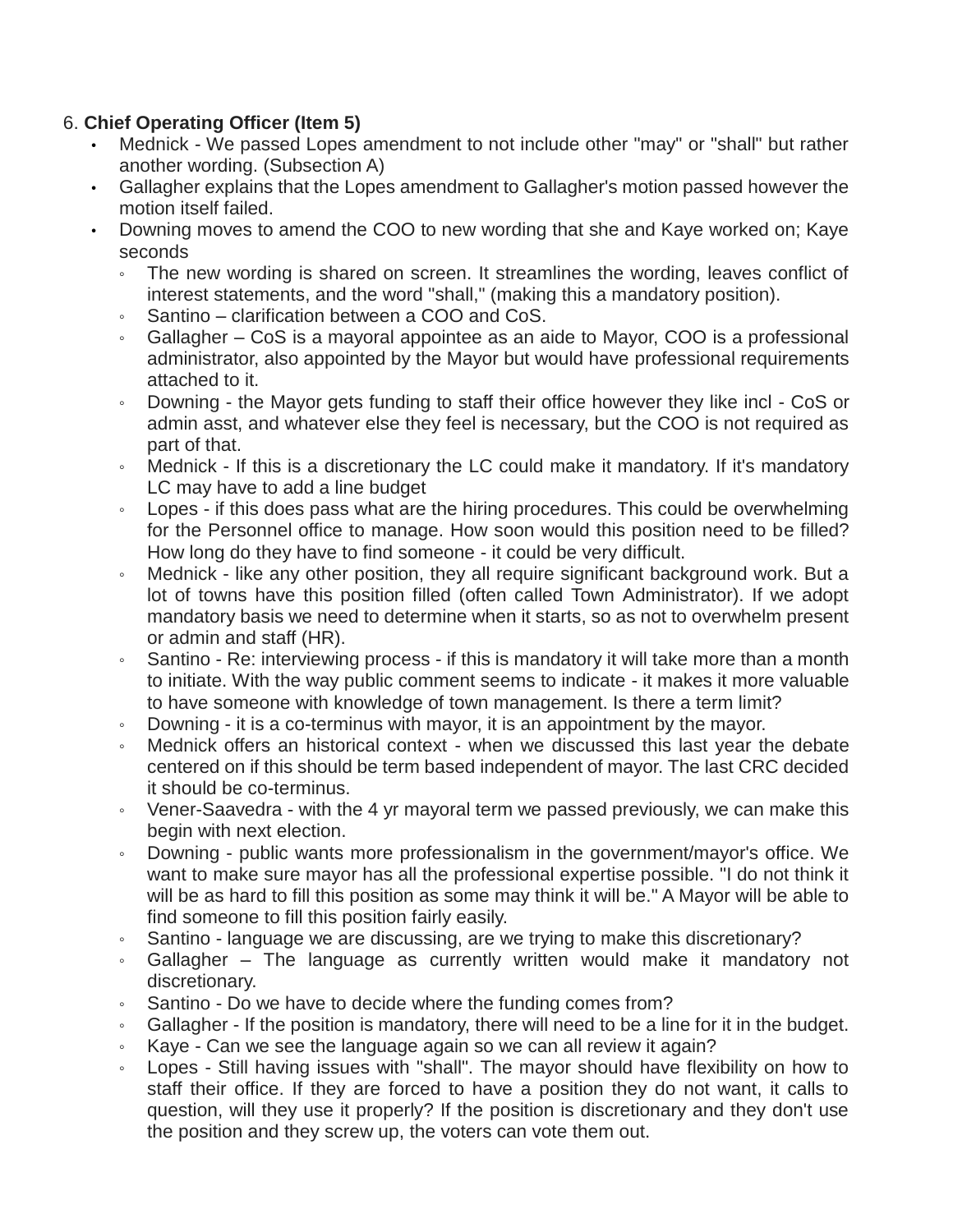## 6. **Chief Operating Officer (Item 5)**

- Mednick We passed Lopes amendment to not include other "may" or "shall" but rather another wording. (Subsection A)
- Gallagher explains that the Lopes amendment to Gallagher's motion passed however the motion itself failed.
- Downing moves to amend the COO to new wording that she and Kaye worked on; Kaye seconds
	- The new wording is shared on screen. It streamlines the wording, leaves conflict of interest statements, and the word "shall," (making this a mandatory position).
	- Santino clarification between a COO and CoS.
	- Gallagher CoS is a mayoral appointee as an aide to Mayor, COO is a professional administrator, also appointed by the Mayor but would have professional requirements attached to it.
	- Downing the Mayor gets funding to staff their office however they like incl CoS or admin asst, and whatever else they feel is necessary, but the COO is not required as part of that.
	- Mednick If this is a discretionary the LC could make it mandatory. If it's mandatory LC may have to add a line budget
	- Lopes if this does pass what are the hiring procedures. This could be overwhelming for the Personnel office to manage. How soon would this position need to be filled? How long do they have to find someone - it could be very difficult.
	- Mednick like any other position, they all require significant background work. But a lot of towns have this position filled (often called Town Administrator). If we adopt mandatory basis we need to determine when it starts, so as not to overwhelm present or admin and staff (HR).
	- Santino Re: interviewing process if this is mandatory it will take more than a month to initiate. With the way public comment seems to indicate - it makes it more valuable to have someone with knowledge of town management. Is there a term limit?
	- Downing it is a co-terminus with mayor, it is an appointment by the mayor.
	- Mednick offers an historical context when we discussed this last year the debate centered on if this should be term based independent of mayor. The last CRC decided it should be co-terminus.
	- Vener-Saavedra with the 4 yr mayoral term we passed previously, we can make this begin with next election.
	- Downing public wants more professionalism in the government/mayor's office. We want to make sure mayor has all the professional expertise possible. "I do not think it will be as hard to fill this position as some may think it will be." A Mayor will be able to find someone to fill this position fairly easily.
	- Santino language we are discussing, are we trying to make this discretionary?
	- Gallagher The language as currently written would make it mandatory not discretionary.
	- Santino Do we have to decide where the funding comes from?
	- Gallagher If the position is mandatory, there will need to be a line for it in the budget.
	- Kaye Can we see the language again so we can all review it again?
	- Lopes Still having issues with "shall". The mayor should have flexibility on how to staff their office. If they are forced to have a position they do not want, it calls to question, will they use it properly? If the position is discretionary and they don't use the position and they screw up, the voters can vote them out.